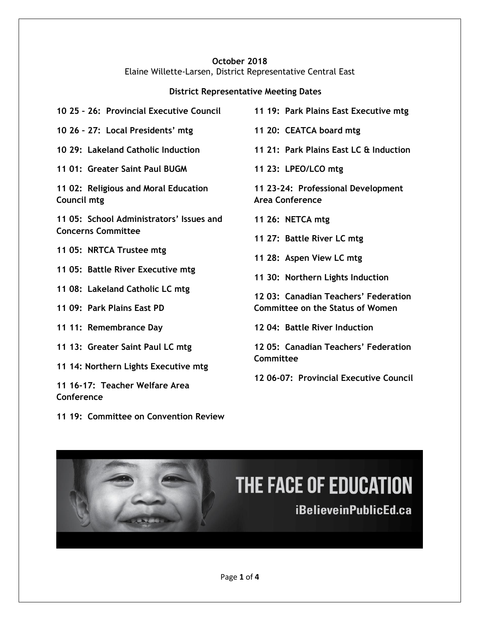#### **October 2018** Elaine Willette-Larsen, District Representative Central East

## **District Representative Meeting Dates**

| 10 25 - 26: Provincial Executive Council            | 11 19: Park Plains East Executive mtg                        |
|-----------------------------------------------------|--------------------------------------------------------------|
| 10 26 - 27: Local Presidents' mtg                   | 11 20: CEATCA board mtg                                      |
| 10 29: Lakeland Catholic Induction                  | 11 21: Park Plains East LC & Induction                       |
| 11 01: Greater Saint Paul BUGM                      | 11 23: LPEO/LCO mtg                                          |
| 11 02: Religious and Moral Education<br>Council mtg | 11 23-24: Professional Development<br><b>Area Conference</b> |
| 11 05: School Administrators' Issues and            | 11 26: NETCA mtg                                             |
| <b>Concerns Committee</b>                           | 11 27: Battle River LC mtg                                   |
| 11 05: NRTCA Trustee mtg                            | 11 28: Aspen View LC mtg                                     |
| 11 05: Battle River Executive mtg                   | 11 30: Northern Lights Induction                             |
| 11 08: Lakeland Catholic LC mtg                     | 12 03: Canadian Teachers' Federation                         |
| 11 09: Park Plains East PD                          | <b>Committee on the Status of Women</b>                      |
| 11 11: Remembrance Day                              | 12 04: Battle River Induction                                |
| 11 13: Greater Saint Paul LC mtg                    | 12 05: Canadian Teachers' Federation                         |
| 11 14: Northern Lights Executive mtg                | Committee                                                    |
| 11 16-17: Teacher Welfare Area<br><b>Conference</b> | 12 06-07: Provincial Executive Council                       |

**11 19: Committee on Convention Review** 

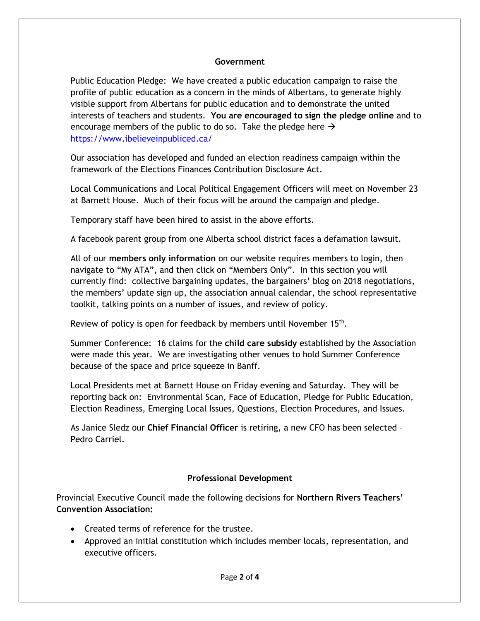#### **Government**

Public Education Pledge: We have created a public education campaign to raise the profile of public education as a concern in the minds of Albertans, to generate highly visible support from Albertans for public education and to demonstrate the united interests of teachers and students. **You are encouraged to sign the pledge online** and to encourage members of the public to do so. Take the pledge here  $\rightarrow$ <https://www.ibelieveinpubliced.ca/>

Our association has developed and funded an election readiness campaign within the framework of the Elections Finances Contribution Disclosure Act.

Local Communications and Local Political Engagement Officers will meet on November 23 at Barnett House. Much of their focus will be around the campaign and pledge.

Temporary staff have been hired to assist in the above efforts.

A facebook parent group from one Alberta school district faces a defamation lawsuit.

All of our **members only information** on our website requires members to login, then navigate to "My ATA", and then click on "Members Only". In this section you will currently find: collective bargaining updates, the bargainers' blog on 2018 negotiations, the members' update sign up, the association annual calendar, the school representative toolkit, talking points on a number of issues, and review of policy.

Review of policy is open for feedback by members until November 15<sup>th</sup>.

Summer Conference: 16 claims for the **child care subsidy** established by the Association were made this year. We are investigating other venues to hold Summer Conference because of the space and price squeeze in Banff.

Local Presidents met at Barnett House on Friday evening and Saturday. They will be reporting back on: Environmental Scan, Face of Education, Pledge for Public Education, Election Readiness, Emerging Local Issues, Questions, Election Procedures, and Issues.

As Janice Sledz our **Chief Financial Officer** is retiring, a new CFO has been selected – Pedro Carriel.

### **Professional Development**

Provincial Executive Council made the following decisions for **Northern Rivers Teachers' Convention Association:** 

- Created terms of reference for the trustee.
- Approved an initial constitution which includes member locals, representation, and executive officers.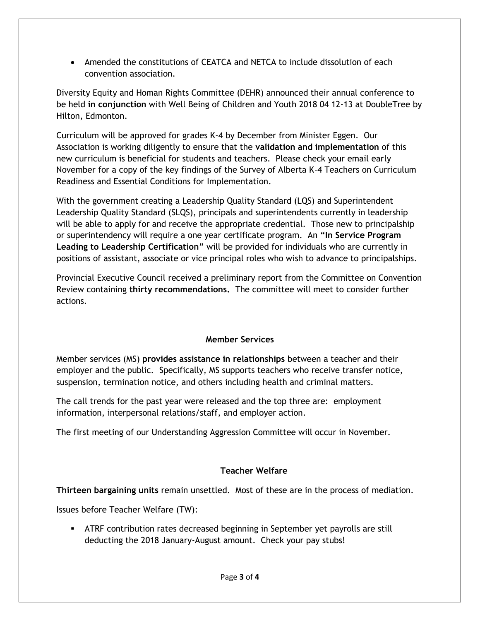• Amended the constitutions of CEATCA and NETCA to include dissolution of each convention association.

Diversity Equity and Homan Rights Committee (DEHR) announced their annual conference to be held **in conjunction** with Well Being of Children and Youth 2018 04 12-13 at DoubleTree by Hilton, Edmonton.

Curriculum will be approved for grades K-4 by December from Minister Eggen. Our Association is working diligently to ensure that the **validation and implementation** of this new curriculum is beneficial for students and teachers. Please check your email early November for a copy of the key findings of the Survey of Alberta K-4 Teachers on Curriculum Readiness and Essential Conditions for Implementation.

With the government creating a Leadership Quality Standard (LQS) and Superintendent Leadership Quality Standard (SLQS), principals and superintendents currently in leadership will be able to apply for and receive the appropriate credential. Those new to principalship or superintendency will require a one year certificate program. An **"In Service Program Leading to Leadership Certification"** will be provided for individuals who are currently in positions of assistant, associate or vice principal roles who wish to advance to principalships.

Provincial Executive Council received a preliminary report from the Committee on Convention Review containing **thirty recommendations.** The committee will meet to consider further actions.

### **Member Services**

Member services (MS) **provides assistance in relationships** between a teacher and their employer and the public. Specifically, MS supports teachers who receive transfer notice, suspension, termination notice, and others including health and criminal matters.

The call trends for the past year were released and the top three are: employment information, interpersonal relations/staff, and employer action.

The first meeting of our Understanding Aggression Committee will occur in November.

# **Teacher Welfare**

**Thirteen bargaining units** remain unsettled. Most of these are in the process of mediation.

Issues before Teacher Welfare (TW):

**EXTRE** contribution rates decreased beginning in September yet payrolls are still deducting the 2018 January-August amount. Check your pay stubs!